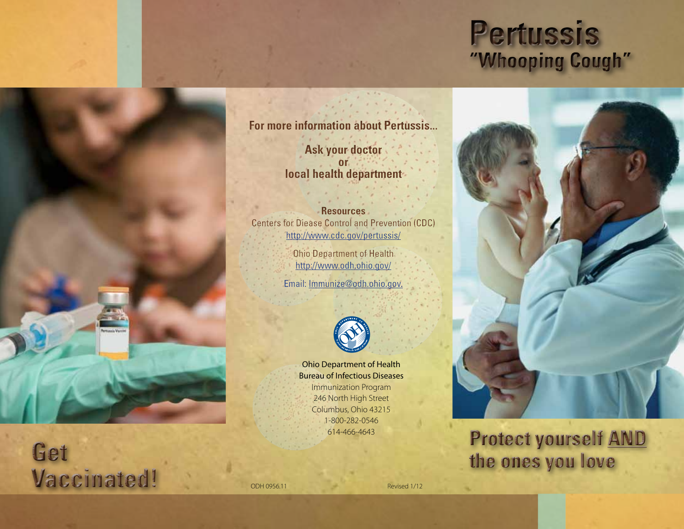# **Pertussis "Whooping Cough"**



# **Protect yourself AND the ones you love**

**For more information about Pertussis...**

**Ask your doctor or local health department** 

## **Resources**

Centers for Diease Control and Prevention (CDC) http://www.cdc.gov/pertussis/

> Ohio Department of Health http://www.odh.ohio.gov/ Email: Immunize@odh.ohio.gov.



Ohio Department of Health Bureau of Infectious Diseases Immunization Program 246 North High Street Columbus, Ohio 43215 1-800-282-0546 614-466-4643



**Get** 

**Vaccinated!**